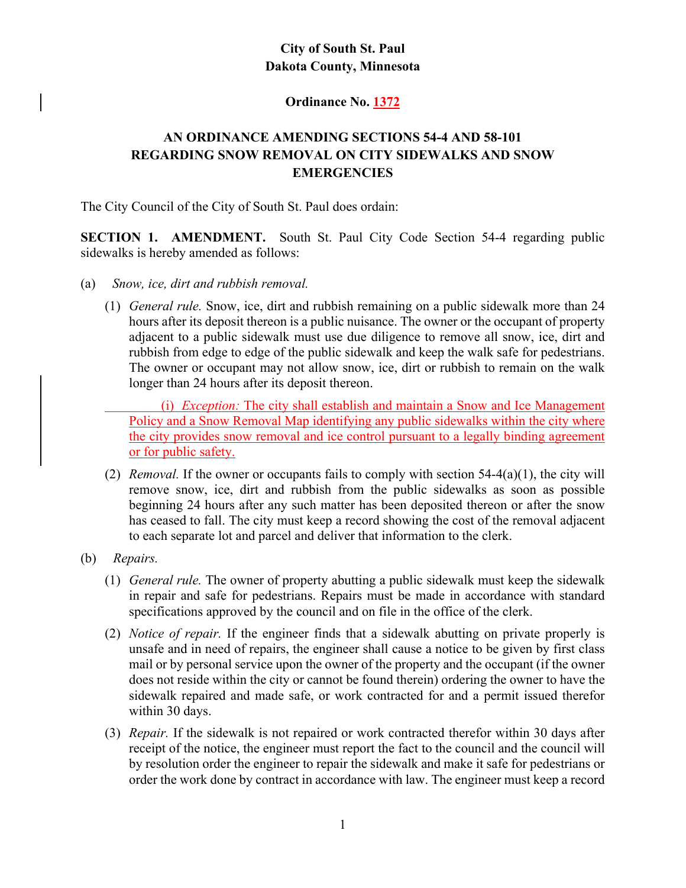## **City of South St. Paul Dakota County, Minnesota**

## **Ordinance No. 1372**

## **AN ORDINANCE AMENDING SECTIONS 54-4 AND 58-101 REGARDING SNOW REMOVAL ON CITY SIDEWALKS AND SNOW EMERGENCIES**

The City Council of the City of South St. Paul does ordain:

**SECTION 1. AMENDMENT.** South St. Paul City Code Section 54-4 regarding public sidewalks is hereby amended as follows:

- (a) *Snow, ice, dirt and rubbish removal.*
	- (1) *General rule.* Snow, ice, dirt and rubbish remaining on a public sidewalk more than 24 hours after its deposit thereon is a public nuisance. The owner or the occupant of property adjacent to a public sidewalk must use due diligence to remove all snow, ice, dirt and rubbish from edge to edge of the public sidewalk and keep the walk safe for pedestrians. The owner or occupant may not allow snow, ice, dirt or rubbish to remain on the walk longer than 24 hours after its deposit thereon.

 (i) *Exception:* The city shall establish and maintain a Snow and Ice Management Policy and a Snow Removal Map identifying any public sidewalks within the city where the city provides snow removal and ice control pursuant to a legally binding agreement or for public safety.

- (2) *Removal.* If the owner or occupants fails to comply with section 54-4(a)(1), the city will remove snow, ice, dirt and rubbish from the public sidewalks as soon as possible beginning 24 hours after any such matter has been deposited thereon or after the snow has ceased to fall. The city must keep a record showing the cost of the removal adjacent to each separate lot and parcel and deliver that information to the clerk.
- (b) *Repairs.*
	- (1) *General rule.* The owner of property abutting a public sidewalk must keep the sidewalk in repair and safe for pedestrians. Repairs must be made in accordance with standard specifications approved by the council and on file in the office of the clerk.
	- (2) *Notice of repair.* If the engineer finds that a sidewalk abutting on private properly is unsafe and in need of repairs, the engineer shall cause a notice to be given by first class mail or by personal service upon the owner of the property and the occupant (if the owner does not reside within the city or cannot be found therein) ordering the owner to have the sidewalk repaired and made safe, or work contracted for and a permit issued therefor within 30 days.
	- (3) *Repair.* If the sidewalk is not repaired or work contracted therefor within 30 days after receipt of the notice, the engineer must report the fact to the council and the council will by resolution order the engineer to repair the sidewalk and make it safe for pedestrians or order the work done by contract in accordance with law. The engineer must keep a record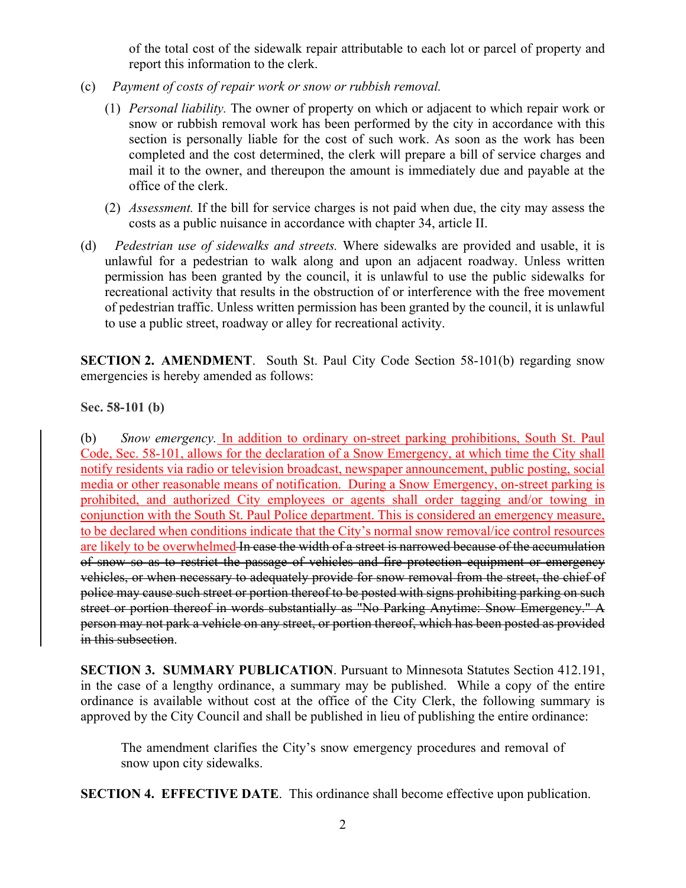of the total cost of the sidewalk repair attributable to each lot or parcel of property and report this information to the clerk.

- (c) *Payment of costs of repair work or snow or rubbish removal.*
	- (1) *Personal liability.* The owner of property on which or adjacent to which repair work or snow or rubbish removal work has been performed by the city in accordance with this section is personally liable for the cost of such work. As soon as the work has been completed and the cost determined, the clerk will prepare a bill of service charges and mail it to the owner, and thereupon the amount is immediately due and payable at the office of the clerk.
	- (2) *Assessment.* If the bill for service charges is not paid when due, the city may assess the costs as a public nuisance in accordance with chapter 34, article II.
- (d) *Pedestrian use of sidewalks and streets.* Where sidewalks are provided and usable, it is unlawful for a pedestrian to walk along and upon an adjacent roadway. Unless written permission has been granted by the council, it is unlawful to use the public sidewalks for recreational activity that results in the obstruction of or interference with the free movement of pedestrian traffic. Unless written permission has been granted by the council, it is unlawful to use a public street, roadway or alley for recreational activity.

**SECTION 2. AMENDMENT.** South St. Paul City Code Section 58-101(b) regarding snow emergencies is hereby amended as follows:

**Sec. 58-101 (b)** 

(b) *Snow emergency.* In addition to ordinary on-street parking prohibitions, South St. Paul Code, Sec. 58-101, allows for the declaration of a Snow Emergency, at which time the City shall notify residents via radio or television broadcast, newspaper announcement, public posting, social media or other reasonable means of notification. During a Snow Emergency, on-street parking is prohibited, and authorized City employees or agents shall order tagging and/or towing in conjunction with the South St. Paul Police department. This is considered an emergency measure, to be declared when conditions indicate that the City's normal snow removal/ice control resources are likely to be overwhelmed In case the width of a street is narrowed because of the accumulation of snow so as to restrict the passage of vehicles and fire protection equipment or emergency vehicles, or when necessary to adequately provide for snow removal from the street, the chief of police may cause such street or portion thereof to be posted with signs prohibiting parking on such street or portion thereof in words substantially as "No Parking Anytime: Snow Emergency." A person may not park a vehicle on any street, or portion thereof, which has been posted as provided in this subsection.

**SECTION 3. SUMMARY PUBLICATION**. Pursuant to Minnesota Statutes Section 412.191, in the case of a lengthy ordinance, a summary may be published. While a copy of the entire ordinance is available without cost at the office of the City Clerk, the following summary is approved by the City Council and shall be published in lieu of publishing the entire ordinance:

The amendment clarifies the City's snow emergency procedures and removal of snow upon city sidewalks.

**SECTION 4. EFFECTIVE DATE**. This ordinance shall become effective upon publication.